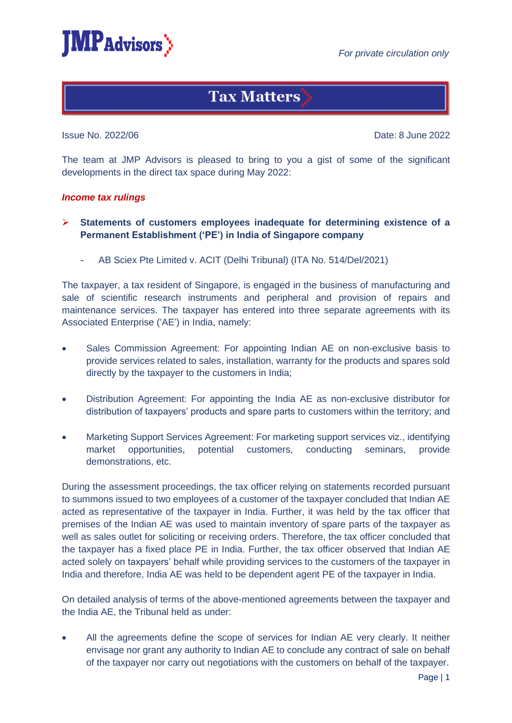

# **Tax Matters**

Issue No. 2022/06 Date: 8 June 2022

The team at JMP Advisors is pleased to bring to you a gist of some of the significant developments in the direct tax space during May 2022:

## *Income tax rulings*

- ➢ **Statements of customers employees inadequate for determining existence of a Permanent Establishment ('PE') in India of Singapore company**
	- AB Sciex Pte Limited v. ACIT (Delhi Tribunal) (ITA No. 514/Del/2021)

The taxpayer, a tax resident of Singapore, is engaged in the business of manufacturing and sale of scientific research instruments and peripheral and provision of repairs and maintenance services. The taxpayer has entered into three separate agreements with its Associated Enterprise ('AE') in India, namely:

- Sales Commission Agreement: For appointing Indian AE on non-exclusive basis to provide services related to sales, installation, warranty for the products and spares sold directly by the taxpayer to the customers in India;
- Distribution Agreement: For appointing the India AE as non-exclusive distributor for distribution of taxpayers' products and spare parts to customers within the territory; and
- Marketing Support Services Agreement: For marketing support services viz., identifying market opportunities, potential customers, conducting seminars, provide demonstrations, etc.

During the assessment proceedings, the tax officer relying on statements recorded pursuant to summons issued to two employees of a customer of the taxpayer concluded that Indian AE acted as representative of the taxpayer in India. Further, it was held by the tax officer that premises of the Indian AE was used to maintain inventory of spare parts of the taxpayer as well as sales outlet for soliciting or receiving orders. Therefore, the tax officer concluded that the taxpayer has a fixed place PE in India. Further, the tax officer observed that Indian AE acted solely on taxpayers' behalf while providing services to the customers of the taxpayer in India and therefore, India AE was held to be dependent agent PE of the taxpayer in India.

On detailed analysis of terms of the above-mentioned agreements between the taxpayer and the India AE, the Tribunal held as under:

All the agreements define the scope of services for Indian AE very clearly. It neither envisage nor grant any authority to Indian AE to conclude any contract of sale on behalf of the taxpayer nor carry out negotiations with the customers on behalf of the taxpayer.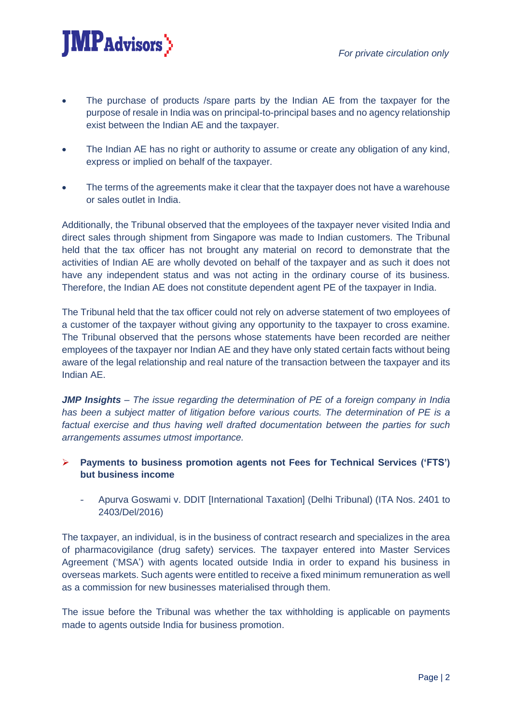

- The purchase of products /spare parts by the Indian AE from the taxpayer for the purpose of resale in India was on principal-to-principal bases and no agency relationship exist between the Indian AE and the taxpayer.
- The Indian AE has no right or authority to assume or create any obligation of any kind, express or implied on behalf of the taxpayer.
- The terms of the agreements make it clear that the taxpayer does not have a warehouse or sales outlet in India.

Additionally, the Tribunal observed that the employees of the taxpayer never visited India and direct sales through shipment from Singapore was made to Indian customers. The Tribunal held that the tax officer has not brought any material on record to demonstrate that the activities of Indian AE are wholly devoted on behalf of the taxpayer and as such it does not have any independent status and was not acting in the ordinary course of its business. Therefore, the Indian AE does not constitute dependent agent PE of the taxpayer in India.

The Tribunal held that the tax officer could not rely on adverse statement of two employees of a customer of the taxpayer without giving any opportunity to the taxpayer to cross examine. The Tribunal observed that the persons whose statements have been recorded are neither employees of the taxpayer nor Indian AE and they have only stated certain facts without being aware of the legal relationship and real nature of the transaction between the taxpayer and its Indian AE.

*JMP Insights* – *The issue regarding the determination of PE of a foreign company in India has been a subject matter of litigation before various courts. The determination of PE is a factual exercise and thus having well drafted documentation between the parties for such arrangements assumes utmost importance.* 

- ➢ **Payments to business promotion agents not Fees for Technical Services ('FTS') but business income** 
	- Apurva Goswami v. DDIT [International Taxation] (Delhi Tribunal) (ITA Nos. 2401 to 2403/Del/2016)

The taxpayer, an individual, is in the business of contract research and specializes in the area of pharmacovigilance (drug safety) services. The taxpayer entered into Master Services Agreement ('MSA') with agents located outside India in order to expand his business in overseas markets. Such agents were entitled to receive a fixed minimum remuneration as well as a commission for new businesses materialised through them.

The issue before the Tribunal was whether the tax withholding is applicable on payments made to agents outside India for business promotion.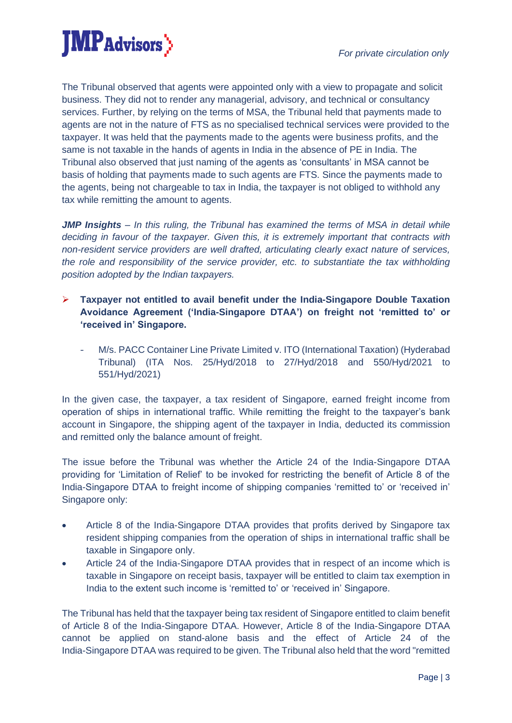

The Tribunal observed that agents were appointed only with a view to propagate and solicit business. They did not to render any managerial, advisory, and technical or consultancy services. Further, by relying on the terms of MSA, the Tribunal held that payments made to agents are not in the nature of FTS as no specialised technical services were provided to the taxpayer. It was held that the payments made to the agents were business profits, and the same is not taxable in the hands of agents in India in the absence of PE in India. The Tribunal also observed that just naming of the agents as 'consultants' in MSA cannot be basis of holding that payments made to such agents are FTS. Since the payments made to the agents, being not chargeable to tax in India, the taxpayer is not obliged to withhold any tax while remitting the amount to agents.

*JMP Insights – In this ruling, the Tribunal has examined the terms of MSA in detail while deciding in favour of the taxpayer. Given this, it is extremely important that contracts with non-resident service providers are well drafted, articulating clearly exact nature of services, the role and responsibility of the service provider, etc. to substantiate the tax withholding position adopted by the Indian taxpayers.* 

- ➢ **Taxpayer not entitled to avail benefit under the India-Singapore Double Taxation Avoidance Agreement ('India-Singapore DTAA') on freight not 'remitted to' or 'received in' Singapore.** 
	- M/s. PACC Container Line Private Limited v. ITO (International Taxation) (Hyderabad Tribunal) (ITA Nos. 25/Hyd/2018 to 27/Hyd/2018 and 550/Hyd/2021 to 551/Hyd/2021)

In the given case, the taxpayer, a tax resident of Singapore, earned freight income from operation of ships in international traffic. While remitting the freight to the taxpayer's bank account in Singapore, the shipping agent of the taxpayer in India, deducted its commission and remitted only the balance amount of freight.

The issue before the Tribunal was whether the Article 24 of the India-Singapore DTAA providing for 'Limitation of Relief' to be invoked for restricting the benefit of Article 8 of the India-Singapore DTAA to freight income of shipping companies 'remitted to' or 'received in' Singapore only:

- Article 8 of the India-Singapore DTAA provides that profits derived by Singapore tax resident shipping companies from the operation of ships in international traffic shall be taxable in Singapore only.
- Article 24 of the India-Singapore DTAA provides that in respect of an income which is taxable in Singapore on receipt basis, taxpayer will be entitled to claim tax exemption in India to the extent such income is 'remitted to' or 'received in' Singapore.

The Tribunal has held that the taxpayer being tax resident of Singapore entitled to claim benefit of Article 8 of the India-Singapore DTAA. However, Article 8 of the India-Singapore DTAA cannot be applied on stand-alone basis and the effect of Article 24 of the India-Singapore DTAA was required to be given. The Tribunal also held that the word "remitted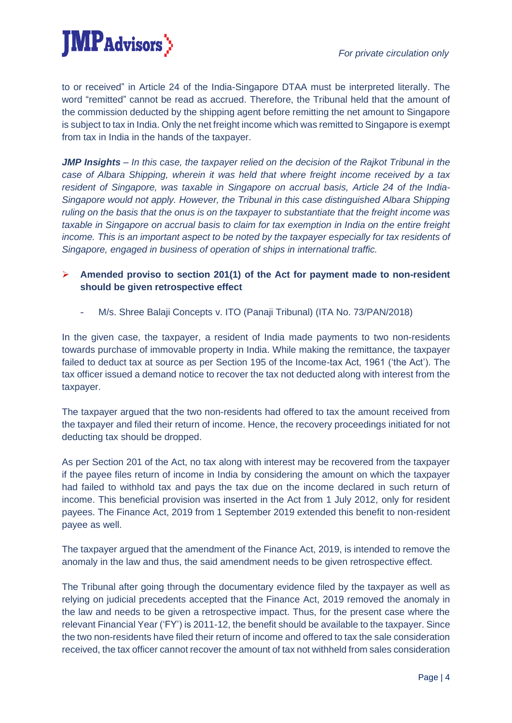

to or received" in Article 24 of the India-Singapore DTAA must be interpreted literally. The word "remitted" cannot be read as accrued. Therefore, the Tribunal held that the amount of the commission deducted by the shipping agent before remitting the net amount to Singapore is subject to tax in India. Only the net freight income which was remitted to Singapore is exempt from tax in India in the hands of the taxpayer.

*JMP Insights* – In this case, the taxpayer relied on the decision of the Rajkot Tribunal in the *case of Albara Shipping, wherein it was held that where freight income received by a tax resident of Singapore, was taxable in Singapore on accrual basis, Article 24 of the India-Singapore would not apply. However, the Tribunal in this case distinguished Albara Shipping ruling on the basis that the onus is on the taxpayer to substantiate that the freight income was taxable in Singapore on accrual basis to claim for tax exemption in India on the entire freight income. This is an important aspect to be noted by the taxpayer especially for tax residents of Singapore, engaged in business of operation of ships in international traffic.*

## ➢ **Amended proviso to section 201(1) of the Act for payment made to non-resident should be given retrospective effect**

M/s. Shree Balaji Concepts v. ITO (Panaji Tribunal) (ITA No. 73/PAN/2018)

In the given case, the taxpayer, a resident of India made payments to two non-residents towards purchase of immovable property in India. While making the remittance, the taxpayer failed to deduct tax at source as per Section 195 of the Income-tax Act, 1961 ('the Act'). The tax officer issued a demand notice to recover the tax not deducted along with interest from the taxpayer.

The taxpayer argued that the two non-residents had offered to tax the amount received from the taxpayer and filed their return of income. Hence, the recovery proceedings initiated for not deducting tax should be dropped.

As per Section 201 of the Act, no tax along with interest may be recovered from the taxpayer if the payee files return of income in India by considering the amount on which the taxpayer had failed to withhold tax and pays the tax due on the income declared in such return of income. This beneficial provision was inserted in the Act from 1 July 2012, only for resident payees. The Finance Act, 2019 from 1 September 2019 extended this benefit to non-resident payee as well.

The taxpayer argued that the amendment of the Finance Act, 2019, is intended to remove the anomaly in the law and thus, the said amendment needs to be given retrospective effect.

The Tribunal after going through the documentary evidence filed by the taxpayer as well as relying on judicial precedents accepted that the Finance Act, 2019 removed the anomaly in the law and needs to be given a retrospective impact. Thus, for the present case where the relevant Financial Year ('FY') is 2011-12, the benefit should be available to the taxpayer. Since the two non-residents have filed their return of income and offered to tax the sale consideration received, the tax officer cannot recover the amount of tax not withheld from sales consideration